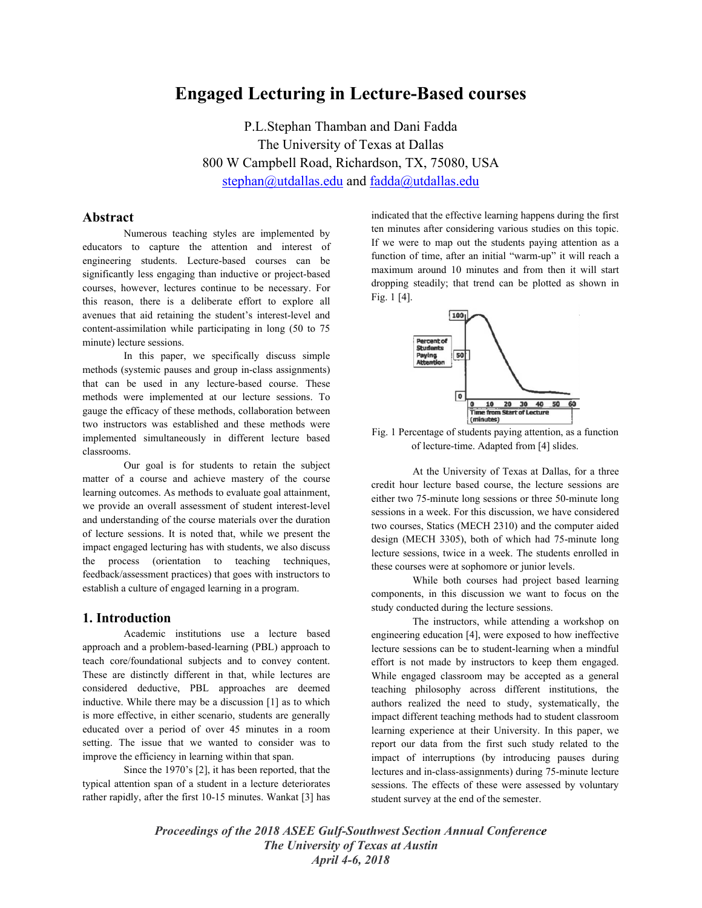# **Engaged Lecturing in Lecture-Based courses**

P.L.Stephan Thamban and Dani Fadda The University of Texas at Dallas 800 W Campbell Road, Richardson, TX, 75080, USA stephan@utdallas.edu and fadda@utdallas.edu

## **Abstract**

Numerous teaching styles are implemented by educators to capture the attention and interest of engineering students. Lecture-based courses can be significantly less engaging than inductive or project-based courses, however, lectures continue to be necessary. For this reason, there is a deliberate effort to explore all avenues that aid retaining the student's interest-level and content-assimilation while participating in long (50 to 75 minute) lecture sessions.

In this paper, we specifically discuss simple methods (systemic pauses and group in-class assignments) that can be used in any lecture-based course. These methods were implemented at our lecture sessions. To gauge the efficacy of these methods, collaboration between two instructors was established and these methods were implemented simultaneously in different lecture based classrooms.

Our goal is for students to retain the subject matter of a course and achieve mastery of the course learning outcomes. As methods to evaluate goal attainment, we provide an overall assessment of student interest-level and understanding of the course materials over the duration of lecture sessions. It is noted that, while we present the impact engaged lecturing has with students, we also discuss the process (orientation to teaching techniques, feedback/assessment practices) that goes with instructors to establish a culture of engaged learning in a program.

## **1. Introduction**

Academic institutions use a lecture based approach and a problem-based-learning (PBL) approach to teach core/foundational subjects and to convey content. These are distinctly different in that, while lectures are considered deductive, PBL approaches are deemed inductive. While there may be a discussion [1] as to which is more effective, in either scenario, students are generally educated over a period of over 45 minutes in a room setting. The issue that we wanted to consider was to improve the efficiency in learning within that span.

Since the 1970's [2], it has been reported, that the typical attention span of a student in a lecture deteriorates rather rapidly, after the first 10-15 minutes. Wankat [3] has indicated that the effective learning happens during the first ten minutes after considering various studies on this topic. If we were to map out the students paying attention as a function of time, after an initial "warm-up" it will reach a maximum around 10 minutes and from then it will start dropping steadily; that trend can be plotted as shown in Fig. 1 [4].



Fig. 1 Percentage of students paying attention, as a function of lecture-time. Adapted from [4] slides.

At the University of Texas at Dallas, for a three credit hour lecture based course, the lecture sessions are either two 75-minute long sessions or three 50-minute long sessions in a week. For this discussion, we have considered two courses, Statics (MECH 2310) and the computer aided design (MECH 3305), both of which had 75-minute long lecture sessions, twice in a week. The students enrolled in these courses were at sophomore or junior levels.

While both courses had project based learning components, in this discussion we want to focus on the study conducted during the lecture sessions.

The instructors, while attending a workshop on engineering education [4], were exposed to how ineffective lecture sessions can be to student-learning when a mindful effort is not made by instructors to keep them engaged. While engaged classroom may be accepted as a general teaching philosophy across different institutions, the authors realized the need to study, systematically, the impact different teaching methods had to student classroom learning experience at their University. In this paper, we report our data from the first such study related to the impact of interruptions (by introducing pauses during lectures and in-class-assignments) during 75-minute lecture sessions. The effects of these were assessed by voluntary student survey at the end of the semester.

*Proceedings of the 2018 ASEE Gulf-Southwest Section Annual Conference The University of Texas at Austin April 4-6, 2018*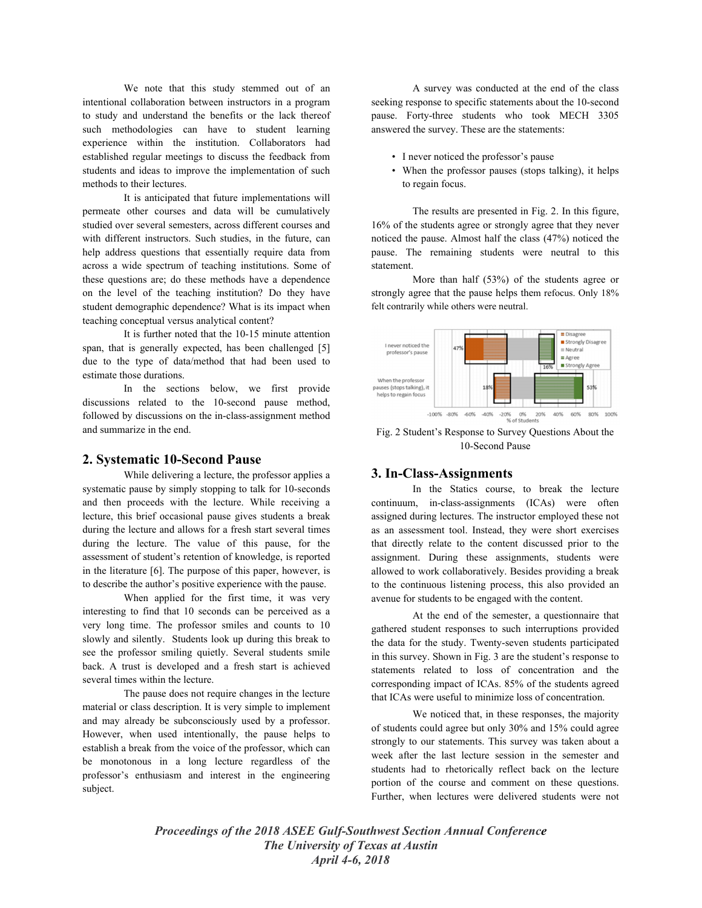We note that this study stemmed out of an intentional collaboration between instructors in a program to study and understand the benefits or the lack thereof such methodologies can have to student learning experience within the institution. Collaborators had established regular meetings to discuss the feedback from students and ideas to improve the implementation of such methods to their lectures.

It is anticipated that future implementations will permeate other courses and data will be cumulatively studied over several semesters, across different courses and with different instructors. Such studies, in the future, can help address questions that essentially require data from across a wide spectrum of teaching institutions. Some of these questions are; do these methods have a dependence on the level of the teaching institution? Do they have student demographic dependence? What is its impact when teaching conceptual versus analytical content?

It is further noted that the 10-15 minute attention span, that is generally expected, has been challenged [5] due to the type of data/method that had been used to estimate those durations.

In the sections below, we first provide discussions related to the 10-second pause method, followed by discussions on the in-class-assignment method and summarize in the end.

#### **2. Systematic 10-Second Pause**

While delivering a lecture, the professor applies a systematic pause by simply stopping to talk for 10-seconds and then proceeds with the lecture. While receiving a lecture, this brief occasional pause gives students a break during the lecture and allows for a fresh start several times during the lecture. The value of this pause, for the assessment of student's retention of knowledge, is reported in the literature [6]. The purpose of this paper, however, is to describe the author's positive experience with the pause.

When applied for the first time, it was very interesting to find that 10 seconds can be perceived as a very long time. The professor smiles and counts to 10 slowly and silently. Students look up during this break to see the professor smiling quietly. Several students smile back. A trust is developed and a fresh start is achieved several times within the lecture.

The pause does not require changes in the lecture material or class description. It is very simple to implement and may already be subconsciously used by a professor. However, when used intentionally, the pause helps to establish a break from the voice of the professor, which can be monotonous in a long lecture regardless of the professor's enthusiasm and interest in the engineering subject.

A survey was conducted at the end of the class seeking response to specific statements about the 10-second pause. Forty-three students who took MECH 3305 answered the survey. These are the statements:

- I never noticed the professor's pause
- When the professor pauses (stops talking), it helps to regain focus.

The results are presented in Fig. 2. In this figure, 16% of the students agree or strongly agree that they never noticed the pause. Almost half the class (47%) noticed the pause. The remaining students were neutral to this statement.

More than half (53%) of the students agree or strongly agree that the pause helps them refocus. Only 18% felt contrarily while others were neutral.



Fig. 2 Student's Response to Survey Questions About the 10-Second Pause

# **3. In-Class-Assignments**

In the Statics course, to break the lecture continuum, in-class-assignments (ICAs) were often assigned during lectures. The instructor employed these not as an assessment tool. Instead, they were short exercises that directly relate to the content discussed prior to the assignment. During these assignments, students were allowed to work collaboratively. Besides providing a break to the continuous listening process, this also provided an avenue for students to be engaged with the content.

At the end of the semester, a questionnaire that gathered student responses to such interruptions provided the data for the study. Twenty-seven students participated in this survey. Shown in Fig. 3 are the student's response to statements related to loss of concentration and the corresponding impact of ICAs. 85% of the students agreed that ICAs were useful to minimize loss of concentration.

We noticed that, in these responses, the majority of students could agree but only 30% and 15% could agree strongly to our statements. This survey was taken about a week after the last lecture session in the semester and students had to rhetorically reflect back on the lecture portion of the course and comment on these questions. Further, when lectures were delivered students were not

*Proceedings of the 2018 ASEE Gulf-Southwest Section Annual Conference The University of Texas at Austin April 4-6, 2018*